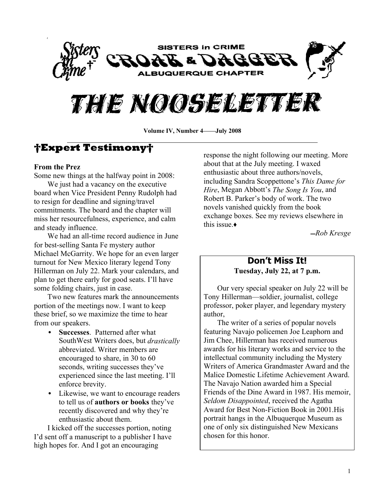



Volume IV, Number 4-*July 2008* 

# **Expert Testimony**

### **From the Prez**

Some new things at the halfway point in 2008: We just had a vacancy on the executive

board when Vice President Penny Rudolph had to resign for deadline and signing/travel commitments. The board and the chapter will miss her resourcefulness, experience, and calm and steady influence.

We had an all-time record audience in June for best-selling Santa Fe mystery author Michael McGarrity. We hope for an even larger turnout for New Mexico literary legend Tony Hillerman on July 22. Mark your calendars, and plan to get there early for good seats. I'll have some folding chairs, just in case.

Two new features mark the announcements portion of the meetings now. I want to keep these brief, so we maximize the time to hear from our speakers.

- **Successes**. Patterned after what SouthWest Writers does, but *drastically* abbreviated. Writer members are encouraged to share, in 30 to 60 seconds, writing successes they've experienced since the last meeting. I'll enforce brevity.
- Likewise, we want to encourage readers to tell us of **authors** or books they've recently discovered and why they're enthusiastic about them.

I kicked off the successes portion, noting I'd sent off a manuscript to a publisher I have high hopes for. And I got an encouraging

response the night following our meeting. More about that at the July meeting. I waxed enthusiastic about three authors/novels, including Sandra Scoppettone's *This Dame for Hire*, Megan Abbott's *The Song Is You*, and Robert B. Parker's body of work. The two novels vanished quickly from the book exchange boxes. See my reviews elsewhere in this issue  $\triangle$ 

̛*Rob Kresge*

### **Don¶t Miss It! Tuesday, July 22, at 7 p.m.**

Our very special speaker on July 22 will be Tony Hillerman—soldier, journalist, college professor, poker player, and legendary mystery author,

The writer of a series of popular novels featuring Navajo policemen Joe Leaphorn and Jim Chee, Hillerman has received numerous awards for his literary works and service to the intellectual community including the Mystery Writers of America Grandmaster Award and the Malice Domestic Lifetime Achievement Award. The Navajo Nation awarded him a Special Friends of the Dine Award in 1987. His memoir, *Seldom Disappointed*, received the Agatha Award for Best Non-Fiction Book in 2001.His portrait hangs in the Albuquerque Museum as one of only six distinguished New Mexicans chosen for this honor.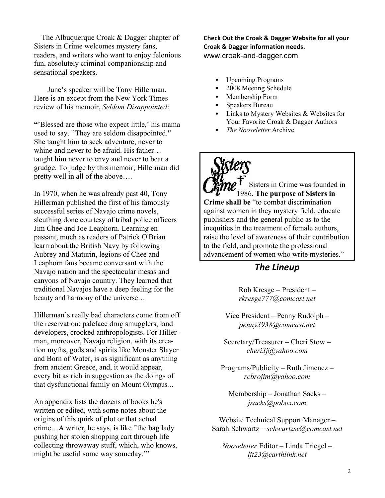The Albuquerque Croak & Dagger chapter of Sisters in Crime welcomes mystery fans, readers, and writers who want to enjoy felonious fun, absolutely criminal companionship and sensational speakers.

June's speaker will be Tony Hillerman. Here is an except from the New York Times review of his memoir, *Seldom Disappointed*:

**W**Blessed are those who expect little,' his mama used to say. "They are seldom disappointed." She taught him to seek adventure, never to whine and never to be afraid. His father... taught him never to envy and never to bear a grudge. To judge by this memoir, Hillerman did pretty well in all of the above....

In 1970, when he was already past 40, Tony Hillerman published the first of his famously successful series of Navajo crime novels, sleuthing done courtesy of tribal police officers Jim Chee and Joe Leaphorn. Learning en passant, much as readers of Patrick O'Brian learn about the British Navy by following Aubrey and Maturin, legions of Chee and Leaphorn fans became conversant with the Navajo nation and the spectacular mesas and canyons of Navajo country. They learned that traditional Navajos have a deep feeling for the beauty and harmony of the universe...

Hillerman's really bad characters come from off the reservation: paleface drug smugglers, land developers, crooked anthropologists. For Hillerman, moreover, Navajo religion, with its creation myths, gods and spirits like Monster Slayer and Born of Water, is as significant as anything from ancient Greece, and, it would appear, every bit as rich in suggestion as the doings of that dysfunctional family on Mount Olympus...

An appendix lists the dozens of books he's written or edited, with some notes about the origins of this quirk of plot or that actual  $c$ rime...A writer, he says, is like "the bag lady pushing her stolen shopping cart through life collecting throwaway stuff, which, who knows, might be useful some way someday."

**Check Out the Croak & Dagger Website for all your Croak & Dagger information needs.** www.croak-and-dagger.com

- Upcoming Programs
- 2008 Meeting Schedule
- Membership Form
- Speakers Bureau
- Links to Mystery Websites & Websites for Your Favorite Croak & Dagger Authors
- *The Nooseletter* Archive

Sisters in Crime was founded in 1986. **The purpose of Sisters in Crime shall be** "to combat discrimination against women in they mystery field, educate publishers and the general public as to the inequities in the treatment of female authors, raise the level of awareness of their contribution to the field, and promote the professional advancement of women who write mysteries."

### *The Lineup*

 $Rob$  Kresge  $-$  President  $$ *rkresge777@comcast.net*

Vice President  $-$  Penny Rudolph  $$ *penny3938@comcast.net*

Secretary/Treasurer  $-$  Cheri Stow  $$ *cheri3j@yahoo.com*

 $Programs/Publicity - Ruth Jimenez$ *rcbrojim@yahoo.com*

Membership - Jonathan Sacks *jsacks@pobox.com*

Website Technical Support Manager – Sarah Schwartz ± *schwartzse@comcast.net*

*Nooseletter* Editor - Linda Triegel *ljt23@earthlink.net*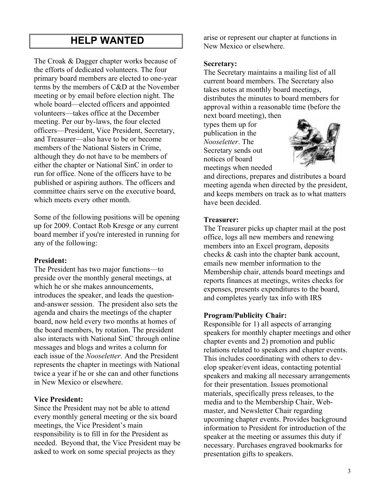# **HELP WANTED**

The Croak & Dagger chapter works because of the efforts of dedicated volunteers. The four primary board members are elected to one-year terms by the members of C&D at the November meeting or by email before election night. The whole board—elected officers and appointed volunteers—takes office at the December meeting. Per our by-laws, the four elected officers—President, Vice President, Secretary, and Treasurer-also have to be or become members of the National Sisters in Crime, although they do not have to be members of either the chapter or National SinC in order to run for office. None of the officers have to be published or aspiring authors. The officers and committee chairs serve on the executive board, which meets every other month.

Some of the following positions will be opening up for 2009. Contact Rob Kresge or any current board member if you're interested in running for any of the following:

### **President:**

The President has two major functions-to preside over the monthly general meetings, at which he or she makes announcements, introduces the speaker, and leads the questionand-answer session. The president also sets the agenda and chairs the meetings of the chapter board, now held every two months at homes of the board members, by rotation. The president also interacts with National SinC through online messages and blogs and writes a column for each issue of the *Nooseletter*. And the President represents the chapter in meetings with National twice a year if he or she can and other functions in New Mexico or elsewhere.

### **Vice President:**

Since the President may not be able to attend every monthly general meeting or the six board meetings, the Vice President's main responsibility is to fill in for the President as needed. Beyond that, the Vice President may be asked to work on some special projects as they

arise or represent our chapter at functions in New Mexico or elsewhere.

### **Secretary:**

The Secretary maintains a mailing list of all current board members. The Secretary also takes notes at monthly board meetings, distributes the minutes to board members for approval within a reasonable time (before the

next board meeting), then types them up for publication in the *Nooseletter*. The Secretary sends out notices of board meetings when needed



and directions, prepares and distributes a board meeting agenda when directed by the president, and keeps members on track as to what matters have been decided.

### **Treasurer:**

The Treasurer picks up chapter mail at the post office, logs all new members and renewing members into an Excel program, deposits checks & cash into the chapter bank account, emails new member information to the Membership chair, attends board meetings and reports finances at meetings, writes checks for expenses, presents expenditures to the board, and completes yearly tax info with IRS

### **Program/Publicity Chair:**

Responsible for 1) all aspects of arranging speakers for monthly chapter meetings and other chapter events and 2) promotion and public relations related to speakers and chapter events. This includes coordinating with others to develop speaker/event ideas, contacting potential speakers and making all necessary arrangements for their presentation. Issues promotional materials, specifically press releases, to the media and to the Membership Chair, Webmaster, and Newsletter Chair regarding upcoming chapter events. Provides background information to President for introduction of the speaker at the meeting or assumes this duty if necessary. Purchases engraved bookmarks for presentation gifts to speakers.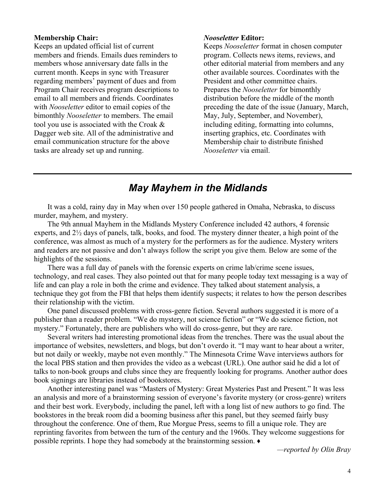### **Membership Chair:**

Keeps an updated official list of current members and friends. Emails dues reminders to members whose anniversary date falls in the current month. Keeps in sync with Treasurer regarding members' payment of dues and from Program Chair receives program descriptions to email to all members and friends. Coordinates with *Nooseletter* editor to email copies of the bimonthly *Nooseletter* to members. The email tool you use is associated with the Croak & Dagger web site. All of the administrative and email communication structure for the above tasks are already set up and running.

#### *Nooseletter* **Editor:**

Keeps *Nooseletter* format in chosen computer program. Collects news items, reviews, and other editorial material from members and any other available sources. Coordinates with the President and other committee chairs. Prepares the *Nooseletter* for bimonthly distribution before the middle of the month preceding the date of the issue (January, March, May, July, September, and November), including editing, formatting into columns, inserting graphics, etc. Coordinates with Membership chair to distribute finished *Nooseletter* via email.

## *May Mayhem in the Midlands*

It was a cold, rainy day in May when over 150 people gathered in Omaha, Nebraska, to discuss murder, mayhem, and mystery.

The 9th annual Mayhem in the Midlands Mystery Conference included 42 authors, 4 forensic experts, and 2½ days of panels, talk, books, and food. The mystery dinner theater, a high point of the conference, was almost as much of a mystery for the performers as for the audience. Mystery writers and readers are not passive and don't always follow the script you give them. Below are some of the highlights of the sessions.

There was a full day of panels with the forensic experts on crime lab/crime scene issues, technology, and real cases. They also pointed out that for many people today text messaging is a way of life and can play a role in both the crime and evidence. They talked about statement analysis, a technique they got from the FBI that helps them identify suspects; it relates to how the person describes their relationship with the victim.

One panel discussed problems with cross-genre fiction. Several authors suggested it is more of a publisher than a reader problem. "We do mystery, not science fiction" or "We do science fiction, not mystery." Fortunately, there are publishers who will do cross-genre, but they are rare.

Several writers had interesting promotional ideas from the trenches. There was the usual about the importance of websites, newsletters, and blogs, but don't overdo it. "I may want to hear about a writer, but not daily or weekly, maybe not even monthly." The Minnesota Crime Wave interviews authors for the local PBS station and then provides the video as a webcast (URL). One author said he did a lot of talks to non-book groups and clubs since they are frequently looking for programs. Another author does book signings are libraries instead of bookstores.

Another interesting panel was "Masters of Mystery: Great Mysteries Past and Present." It was less an analysis and more of a brainstorming session of everyone's favorite mystery (or cross-genre) writers and their best work. Everybody, including the panel, left with a long list of new authors to go find. The bookstores in the break room did a booming business after this panel, but they seemed fairly busy throughout the conference. One of them, Rue Morgue Press, seems to fill a unique role. They are reprinting favorites from between the turn of the century and the 1960s. They welcome suggestions for possible reprints. I hope they had somebody at the brainstorming session.  $\bullet$ 

*²reported by Olin Bray*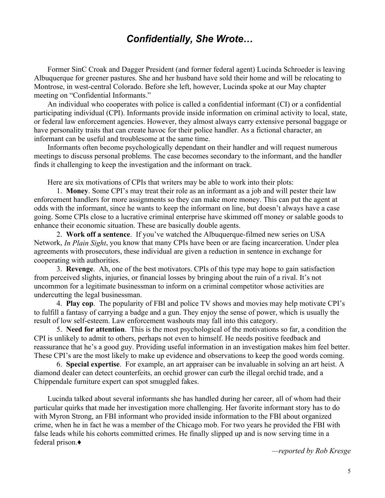### *Confidentially, She Wrote...*

Former SinC Croak and Dagger President (and former federal agent) Lucinda Schroeder is leaving Albuquerque for greener pastures. She and her husband have sold their home and will be relocating to Montrose, in west-central Colorado. Before she left, however, Lucinda spoke at our May chapter meeting on "Confidential Informants."

An individual who cooperates with police is called a confidential informant (CI) or a confidential participating individual (CPI). Informants provide inside information on criminal activity to local, state, or federal law enforcement agencies. However, they almost always carry extensive personal baggage or have personality traits that can create havoc for their police handler. As a fictional character, an informant can be useful and troublesome at the same time.

Informants often become psychologically dependant on their handler and will request numerous meetings to discuss personal problems. The case becomes secondary to the informant, and the handler finds it challenging to keep the investigation and the informant on track.

Here are six motivations of CPIs that writers may be able to work into their plots:

1. **Money**. Some CPI's may treat their role as an informant as a job and will pester their law enforcement handlers for more assignments so they can make more money. This can put the agent at odds with the informant, since he wants to keep the informant on line, but doesn't always have a case going. Some CPIs close to a lucrative criminal enterprise have skimmed off money or salable goods to enhance their economic situation. These are basically double agents.

2. **Work off a sentence**. If you've watched the Albuquerque-filmed new series on USA Network, *In Plain Sight*, you know that many CPIs have been or are facing incarceration. Under plea agreements with prosecutors, these individual are given a reduction in sentence in exchange for cooperating with authorities.

3. **Revenge**. Ah, one of the best motivators. CPIs of this type may hope to gain satisfaction from perceived slights, injuries, or financial losses by bringing about the ruin of a rival. It's not uncommon for a legitimate businessman to inform on a criminal competitor whose activities are undercutting the legal businessman.

4. **Play cop.** The popularity of FBI and police TV shows and movies may help motivate CPI's to fulfill a fantasy of carrying a badge and a gun. They enjoy the sense of power, which is usually the result of low self-esteem. Law enforcement washouts may fall into this category.

5. **Need for attention**. This is the most psychological of the motivations so far, a condition the CPI is unlikely to admit to others, perhaps not even to himself. He needs positive feedback and reassurance that he's a good guy. Providing useful information in an investigation makes him feel better. These CPI's are the most likely to make up evidence and observations to keep the good words coming.

6. **Special expertise**. For example, an art appraiser can be invaluable in solving an art heist. A diamond dealer can detect counterfeits, an orchid grower can curb the illegal orchid trade, and a Chippendale furniture expert can spot smuggled fakes.

Lucinda talked about several informants she has handled during her career, all of whom had their particular quirks that made her investigation more challenging. Her favorite informant story has to do with Myron Strong, an FBI informant who provided inside information to the FBI about organized crime, when he in fact he was a member of the Chicago mob. For two years he provided the FBI with false leads while his cohorts committed crimes. He finally slipped up and is now serving time in a federal prison.Ƈ

*²reported by Rob Kresge*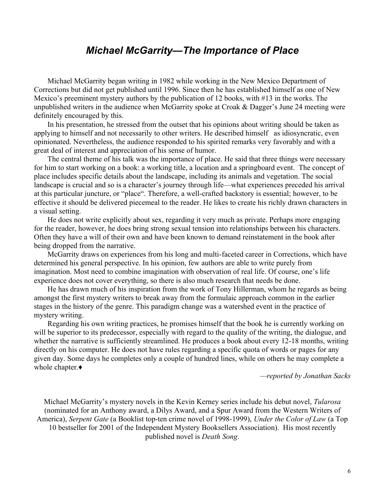### **Michael McGarrity–The Importance of Place**

Michael McGarrity began writing in 1982 while working in the New Mexico Department of Corrections but did not get published until 1996. Since then he has established himself as one of New Mexico's preeminent mystery authors by the publication of 12 books, with  $#13$  in the works. The unpublished writers in the audience when McGarrity spoke at Croak  $&$  Dagger's June 24 meeting were definitely encouraged by this.

In his presentation, he stressed from the outset that his opinions about writing should be taken as applying to himself and not necessarily to other writers. He described himself as idiosyncratic, even opinionated. Nevertheless, the audience responded to his spirited remarks very favorably and with a great deal of interest and appreciation of his sense of humor.

The central theme of his talk was the importance of place. He said that three things were necessary for him to start working on a book: a working title, a location and a springboard event. The concept of place includes specific details about the landscape, including its animals and vegetation. The social landscape is crucial and so is a character's journey through life—what experiences preceded his arrival at this particular juncture, or "place". Therefore, a well-crafted backstory is essential; however, to be effective it should be delivered piecemeal to the reader. He likes to create his richly drawn characters in a visual setting.

He does not write explicitly about sex, regarding it very much as private. Perhaps more engaging for the reader, however, he does bring strong sexual tension into relationships between his characters. Often they have a will of their own and have been known to demand reinstatement in the book after being dropped from the narrative.

McGarrity draws on experiences from his long and multi-faceted career in Corrections, which have determined his general perspective. In his opinion, few authors are able to write purely from imagination. Most need to combine imagination with observation of real life. Of course, one's life experience does not cover everything, so there is also much research that needs be done.

He has drawn much of his inspiration from the work of Tony Hillerman, whom he regards as being amongst the first mystery writers to break away from the formulaic approach common in the earlier stages in the history of the genre. This paradigm change was a watershed event in the practice of mystery writing.

Regarding his own writing practices, he promises himself that the book he is currently working on will be superior to its predecessor, especially with regard to the quality of the writing, the dialogue, and whether the narrative is sufficiently streamlined. He produces a book about every 12-18 months, writing directly on his computer. He does not have rules regarding a specific quota of words or pages for any given day. Some days he completes only a couple of hundred lines, while on others he may complete a whole chapter. $\blacklozenge$ 

*²reported by Jonathan Sacks*

Michael McGarrity's mystery novels in the Kevin Kerney series include his debut novel, *Tularosa* (nominated for an Anthony award, a Dilys Award, and a Spur Award from the Western Writers of America), *Serpent Gate* (a Booklist top-ten crime novel of 1998-1999), *Under the Color of Law* (a Top 10 bestseller for 2001 of the Independent Mystery Booksellers Association). His most recently published novel is *Death Song*.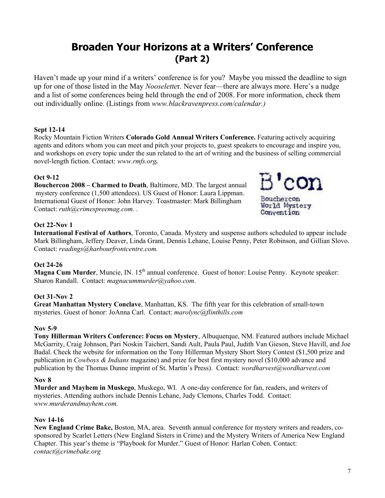# **Broaden Your Horizons at a Writers¶ Conference (Part 2)**

Haven't made up your mind if a writers' conference is for you? Maybe you missed the deadline to sign up for one of those listed in the May *Nooseletter*. Never fear—there are always more. Here's a nudge and a list of some conferences being held through the end of 2008. For more information, check them out individually online. (Listings from *www.blackravenpress.com/calendar.)*

### **Sept 12-14**

Rocky Mountain Fiction Writers **Colorado Gold Annual Writers Conference.** Featuring actively acquiring agents and editors whom you can meet and pitch your projects to, guest speakers to encourage and inspire you, and workshops on every topic under the sun related to the art of writing and the business of selling commercial novel-length fiction. Contact: *www.rmfs.org.* 

### **Oct 9-12**

**Bouchercon 2008 – Charmed to Death, Baltimore, MD. The largest annual**  mystery conference (1,500 attendees). US Guest of Honor: Laura Lippman. International Guest of Honor: John Harvey. Toastmaster: Mark Billingham Contact: *ruth@crimespreemag.com. .* 



### **Oct 22-Nov 1**

**International Festival of Authors**, Toronto, Canada. Mystery and suspense authors scheduled to appear include Mark Billingham, Jeffery Deaver, Linda Grant, Dennis Lehane, Louise Penny, Peter Robinson, and Gillian Slovo. Contact: *readings@harbourfrontcentre.com.* 

### **Oct 24-26**

**Magna Cum Murder**, Muncie, IN. 15<sup>th</sup> annual conference. Guest of honor: Louise Penny. Keynote speaker: Sharon Randall. Contact: *magnacummurder@yahoo.com*.

### **Oct 31-Nov 2**

**Great Manhattan Mystery Conclave**, Manhattan, KS. The fifth year for this celebration of small-town mysteries. Guest of honor: JoAnna Carl. Contact: *marolync@flinthills.com*

### **Nov 5-9**

**Tony Hillerman Writers Conference: Focus on Mystery**, Albuquerque, NM. Featured authors include Michael McGarrity, Craig Johnson, Pari Noskin Taichert, Sandi Ault, Paula Paul, Judith Van Gieson, Steve Havill, and Joe Badal. Check the website for information on the Tony Hillerman Mystery Short Story Contest (\$1,500 prize and publication in *Cowboys & Indians* magazine) and prize for best first mystery novel (\$10,000 advance and publication by the Thomas Dunne imprint of St. Martin's Press). Contact: *wordharvest@wordharvest.com* 

#### **Nov 8**

**Murder and Mayhem in Muskego**, Muskego, WI. A one-day conference for fan, readers, and writers of mysteries. Attending authors include Dennis Lehane, Judy Clemons, Charles Todd. Contact: *www.murderandmayhem.com.*

### **Nov 14-16**

**New England Crime Bake,** Boston, MA, area. Seventh annual conference for mystery writers and readers, cosponsored by Scarlet Letters (New England Sisters in Crime) and the Mystery Writers of America New England Chapter. This year's theme is "Playbook for Murder." Guest of Honor: Harlan Coben. Contact: *contact@crimebake.org*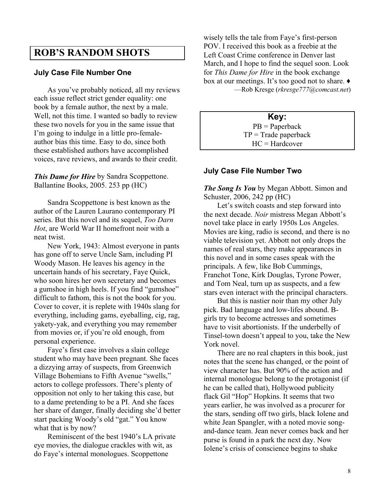### **ROB¶S RANDOM SHOTS**

### **July Case File Number One**

As you've probably noticed, all my reviews each issue reflect strict gender equality: one book by a female author, the next by a male. Well, not this time. I wanted so badly to review these two novels for you in the same issue that I'm going to indulge in a little pro-femaleauthor bias this time. Easy to do, since both these established authors have accomplished voices, rave reviews, and awards to their credit.

*This Dame for Hire* by Sandra Scoppettone. Ballantine Books, 2005. 253 pp (HC)

Sandra Scoppettone is best known as the author of the Lauren Laurano contemporary PI series. But this novel and its sequel, *Too Darn Hot*, are World War II homefront noir with a neat twist.

New York, 1943: Almost everyone in pants has gone off to serve Uncle Sam, including PI Woody Mason. He leaves his agency in the uncertain hands of his secretary, Faye Quick, who soon hires her own secretary and becomes a gumshoe in high heels. If you find "gumshoe" difficult to fathom, this is not the book for you. Cover to cover, it is replete with 1940s slang for everything, including gams, eyeballing, cig, rag, yakety-yak, and everything you may remember from movies or, if you're old enough, from personal experience.

Faye's first case involves a slain college student who may have been pregnant. She faces a dizzying array of suspects, from Greenwich Village Bohemians to Fifth Avenue "swells," actors to college professors. There's plenty of opposition not only to her taking this case, but to a dame pretending to be a PI. And she faces her share of danger, finally deciding she'd better start packing Woody's old "gat." You know what that is by now?

Reminiscent of the best 1940's LA private eye movies, the dialogue crackles with wit, as do Faye's internal monologues. Scoppettone

wisely tells the tale from Faye's first-person POV. I received this book as a freebie at the Left Coast Crime conference in Denver last March, and I hope to find the sequel soon. Look for *This Dame for Hire* in the book exchange box at our meetings. It's too good not to share.  $\bullet$ ²Rob Kresge (*rkresge777@comcast.net*)

> **Key:** PB = Paperback  $TP = Trade$  paperback HC = Hardcover

### **July Case File Number Two**

*The Song Is You* by Megan Abbott. Simon and Schuster, 2006, 242 pp (HC)

Let's switch coasts and step forward into the next decade. *Noir* mistress Megan Abbott's novel take place in early 1950s Los Angeles. Movies are king, radio is second, and there is no viable television yet. Abbott not only drops the names of real stars, they make appearances in this novel and in some cases speak with the principals. A few, like Bob Cummings, Franchot Tone, Kirk Douglas, Tyrone Power, and Tom Neal, turn up as suspects, and a few stars even interact with the principal characters.

But this is nastier noir than my other July pick. Bad language and low-lifes abound. Bgirls try to become actresses and sometimes have to visit abortionists. If the underbelly of Tinsel-town doesn't appeal to you, take the New York novel.

There are no real chapters in this book, just notes that the scene has changed, or the point of view character has. But 90% of the action and internal monologue belong to the protagonist (if he can be called that), Hollywood publicity flack Gil "Hop" Hopkins. It seems that two years earlier, he was involved as a procurer for the stars, sending off two girls, black Iolene and white Jean Spangler, with a noted movie songand-dance team. Jean never comes back and her purse is found in a park the next day. Now Iolene's crisis of conscience begins to shake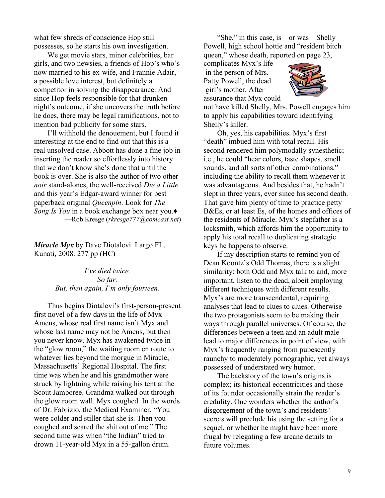what few shreds of conscience Hop still possesses, so he starts his own investigation.

We get movie stars, minor celebrities, bar girls, and two newsies, a friends of Hop's who's now married to his ex-wife, and Frannie Adair, a possible love interest, but definitely a competitor in solving the disappearance. And since Hop feels responsible for that drunken night's outcome, if she uncovers the truth before he does, there may be legal ramifications, not to mention bad publicity for some stars.

I'll withhold the denouement, but I found it interesting at the end to find out that this is a real unsolved case. Abbott has done a fine job in inserting the reader so effortlessly into history that we don't know she's done that until the book is over. She is also the author of two other *noir* stand-alones, the well-received *Die a Little* and this year's Edgar-award winner for best paperback original *Queenpin*. Look for *The Song Is You* in a book exchange box near you. ²Rob Kresge (*rkresge777@comcast.net*)

*Miracle Myx* by Dave Diotalevi. Largo FL, Kunati, 2008. 277 pp (HC)

> *I¶ve died twice. So far. But, then again, I¶m only fourteen.*

Thus begins Diotalevi's first-person-present first novel of a few days in the life of Myx Amens, whose real first name isn't Myx and whose last name may not be Amens, but then you never know. Myx has awakened twice in the "glow room," the waiting room en route to whatever lies beyond the morgue in Miracle, Massachusetts' Regional Hospital. The first time was when he and his grandmother were struck by lightning while raising his tent at the Scout Jamboree. Grandma walked out through the glow room wall. Myx coughed. In the words of Dr. Fabrizio, the Medical Examiner, "You were colder and stiller that she is. Then you coughed and scared the shit out of me." The second time was when "the Indian" tried to drown 11-year-old Myx in a 55-gallon drum.

"She," in this case, is - or was - Shelly Powell, high school hottie and "resident bitch" queen," whose death, reported on page 23,

complicates Myx's life in the person of Mrs. Patty Powell, the dead girl's mother. After assurance that Myx could



not have killed Shelly, Mrs. Powell engages him to apply his capabilities toward identifying Shelly's killer.

Oh, yes, his capabilities. Myx's first "death" imbued him with total recall. His second rendered him polymodally synesthetic; i.e., he could "hear colors, taste shapes, smell sounds, and all sorts of other combinations." including the ability to recall them whenever it was advantageous. And besides that, he hadn't slept in three years, ever since his second death. That gave him plenty of time to practice petty B&Es, or at least Es, of the homes and offices of the residents of Miracle. Myx's stepfather is a locksmith, which affords him the opportunity to apply his total recall to duplicating strategic keys he happens to observe.

If my description starts to remind you of Dean Koontz's Odd Thomas, there is a slight similarity: both Odd and Myx talk to and, more important, listen to the dead, albeit employing different techniques with different results. Myx's are more transcendental, requiring analyses that lead to clues to clues. Otherwise the two protagonists seem to be making their ways through parallel universes. Of course, the differences between a teen and an adult male lead to major differences in point of view, with Myx's frequently ranging from pubescently raunchy to moderately pornographic, yet always possessed of understated wry humor.

The backstory of the town's origins is complex; its historical eccentricities and those of its founder occasionally strain the reader's credulity. One wonders whether the author's disgorgement of the town's and residents' secrets will preclude his using the setting for a sequel, or whether he might have been more frugal by relegating a few arcane details to future volumes.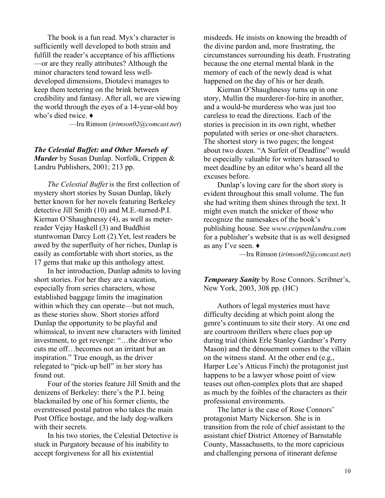The book is a fun read. Myx's character is sufficiently well developed to both strain and fulfill the reader's acceptance of his afflictions — or are they really attributes? Although the minor characters tend toward less welldeveloped dimensions, Diotalevi manages to keep them teetering on the brink between credibility and fantasy. After all, we are viewing the world through the eyes of a 14-year-old boy who's died twice.  $\triangleleft$ 

²Ira Rimson (*irimson02@comcast.net*)

*The Celestial Buffet: and Other Morsels of Murder* by Susan Dunlap. Norfolk, Crippen & Landru Publishers, 2001; 213 pp.

*The Celestial Buffet* is the first collection of mystery short stories by Susan Dunlap, likely better known for her novels featuring Berkeley detective Jill Smith (10) and M.E.-turned-P.I. Kiernan O'Shaughnessy (4), as well as meterreader Vejay Haskell (3) and Buddhist stuntwoman Darcy Lott (2).Yet, lest readers be awed by the superfluity of her riches, Dunlap is easily as comfortable with short stories, as the 17 gems that make up this anthology attest.

In her introduction, Dunlap admits to loving short stories. For her they are a vacation, especially from series characters, whose established baggage limits the imagination within which they can operate—but not much, as these stories show. Short stories afford Dunlap the opportunity to be playful and whimsical, to invent new characters with limited investment, to get revenge: "...the driver who cuts me off...becomes not an irritant but an inspiration." True enough, as the driver relegated to "pick-up hell" in her story has found out.

Four of the stories feature Jill Smith and the denizens of Berkeley: there's the P.I. being blackmailed by one of his former clients, the overstressed postal patron who takes the main Post Office hostage, and the lady dog-walkers with their secrets.

In his two stories, the Celestial Detective is stuck in Purgatory because of his inability to accept forgiveness for all his existential

misdeeds. He insists on knowing the breadth of the divine pardon and, more frustrating, the circumstances surrounding his death. Frustrating because the one eternal mental blank in the memory of each of the newly dead is what happened on the day of his or her death.

Kiernan O'Shaughnessy turns up in one story, Mullin the murderer-for-hire in another, and a would-be murderess who was just too careless to read the directions. Each of the stories is precision in its own right, whether populated with series or one-shot characters. The shortest story is two pages; the longest about two dozen. "A Surfeit of Deadline" would be especially valuable for writers harassed to meet deadline by an editor who's heard all the excuses before.

Dunlap's loving care for the short story is evident throughout this small volume. The fun she had writing them shines through the text. It might even match the snicker of those who recognize the namesakes of the book's publishing house. See *www.crippenlandru.com* for a publisher's website that is as well designed as any I've seen.  $\triangleleft$ 

²Ira Rimson (*irimson02@comcast.net*)

**Temporary Sanity** by Rose Connors. Scribner's, New York, 2003, 308 pp. (HC)

Authors of legal mysteries must have difficulty deciding at which point along the genre's continuum to site their story. At one end are courtroom thrillers where clues pop up during trial (think Erle Stanley Gardner's Perry Mason) and the dénouement comes to the villain on the witness stand. At the other end (e.g., Harper Lee's Atticus Finch) the protagonist just happens to be a lawyer whose point of view teases out often-complex plots that are shaped as much by the foibles of the characters as their professional environments.

The latter is the case of Rose Connors' protagonist Marty Nickerson. She is in transition from the role of chief assistant to the assistant chief District Attorney of Barnstable County, Massachusetts, to the more capricious and challenging persona of itinerant defense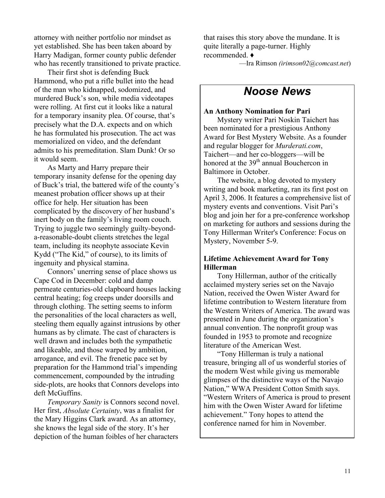attorney with neither portfolio nor mindset as yet established. She has been taken aboard by Harry Madigan, former county public defender who has recently transitioned to private practice.

Their first shot is defending Buck Hammond, who put a rifle bullet into the head of the man who kidnapped, sodomized, and murdered Buck's son, while media videotapes were rolling. At first cut it looks like a natural for a temporary insanity plea. Of course, that's precisely what the D.A. expects and on which he has formulated his prosecution. The act was memorialized on video, and the defendant admits to his premeditation. Slam Dunk! Or so it would seem.

As Marty and Harry prepare their temporary insanity defense for the opening day of Buck's trial, the battered wife of the county's meanest probation officer shows up at their office for help. Her situation has been complicated by the discovery of her husband's inert body on the family's living room couch. Trying to juggle two seemingly guilty-beyonda-reasonable-doubt clients stretches the legal team, including its neophyte associate Kevin Kydd ("The Kid," of course), to its limits of ingenuity and physical stamina.

Connors' unerring sense of place shows us Cape Cod in December: cold and damp permeate centuries-old clapboard houses lacking central heating; fog creeps under doorsills and through clothing. The setting seems to inform the personalities of the local characters as well, steeling them equally against intrusions by other humans as by climate. The cast of characters is well drawn and includes both the sympathetic and likeable, and those warped by ambition, arrogance, and evil. The frenetic pace set by preparation for the Hammond trial's impending commencement, compounded by the intruding side-plots, are hooks that Connors develops into deft McGuffins.

*Temporary Sanity* is Connors second novel. Her first, *Absolute Certainty*, was a finalist for the Mary Higgins Clark award. As an attorney, she knows the legal side of the story. It's her depiction of the human foibles of her characters

that raises this story above the mundane. It is quite literally a page-turner. Highly recommended. Ƈ

²Ira Rimson *(irimson02@comcast.net*)

# *Noose News*

#### **An Anthony Nomination for Pari**

Mystery writer Pari Noskin Taichert has been nominated for a prestigious Anthony Award for Best Mystery Website. As a founder and regular blogger for *Murderati.com*, Taichert—and her co-bloggers—will be honored at the 39<sup>th</sup> annual Bouchercon in Baltimore in October.

The website, a blog devoted to mystery writing and book marketing, ran its first post on April 3, 2006. It features a comprehensive list of mystery events and conventions. Visit Pari's blog and join her for a pre-conference workshop on marketing for authors and sessions during the Tony Hillerman Writer's Conference: Focus on Mystery, November 5-9.

### **Lifetime Achievement Award for Tony Hillerman**

Tony Hillerman, author of the critically acclaimed mystery series set on the Navajo Nation, received the Owen Wister Award for lifetime contribution to Western literature from the Western Writers of America. The award was presented in June during the organization's annual convention. The nonprofit group was founded in 1953 to promote and recognize literature of the American West.

³Tony Hillerman is truly a national treasure, bringing all of us wonderful stories of the modern West while giving us memorable glimpses of the distinctive ways of the Navajo Nation," WWA President Cotton Smith says. ³Western Writers of America is proud to present him with the Owen Wister Award for lifetime achievement." Tony hopes to attend the conference named for him in November.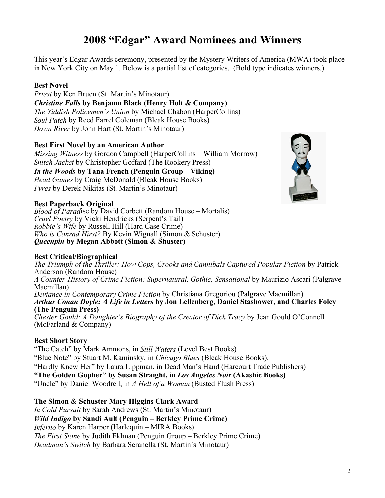# **2008 ³Edgar´ Award Nominees and Winners**

This year's Edgar Awards ceremony, presented by the Mystery Writers of America (MWA) took place in New York City on May 1. Below is a partial list of categories. (Bold type indicates winners.)

### **Best Novel**

*Priest* by Ken Bruen (St. Martin's Minotaur) *Christine Falls* **by Benjamn Black (Henry Holt & Company)** *The Yiddish Policemen's Union* by Michael Chabon (HarperCollins) *Soul Patch* by Reed Farrel Coleman (Bleak House Books) *Down River* by John Hart (St. Martin's Minotaur)

### **Best First Novel by an American Author**

*Missing Witness* by Gordon Campbell (HarperCollins—William Morrow) *Snitch Jacket* by Christopher Goffard (The Rookery Press) *In the Woods* by Tana French (Penguin Group—Viking) *Head Games* by Craig McDonald (Bleak House Books) *Pyres* by Derek Nikitas (St. Martin's Minotaur)



### **Best Paperback Original**

*Blood of Parad*ise by David Corbett (Random House – Mortalis) *Cruel Poetry* by Vicki Hendricks (Serpent's Tail) *Robbie¶s Wife* by Russell Hill (Hard Case Crime) *Who is Conrad Hirst?* By Kevin Wignall (Simon & Schuster) *Queenpin* **by Megan Abbott (Simon & Shuster)** 

### **Best Critical/Biographical**

*The Triumph of the Thriller: How Cops, Crooks and Cannibals Captured Popular Fiction* by Patrick Anderson (Random House) *A Counter-History of Crime Fiction: Supernatural, Gothic, Sensational* by Maurizio Ascari (Palgrave Macmillan) *Deviance in Contemporary Crime Fiction* by Christiana Gregoriou (Palgrave Macmillan) *Arthur Conan Doyle: A Life in Letters* **by Jon Lellenberg, Daniel Stashower, and Charles Foley (The Penguin Press)** *Chester Gould: A Daughter's Biography of the Creator of Dick Tracy* by Jean Gould O'Connell (McFarland & Company)

### **Best Short Story**

The Catch´ by Mark Ammons, in *Still Waters* (Level Best Books) Blue Note´ by Stuart M. Kaminsky, in *Chicago Blues* (Bleak House Books). "Hardly Knew Her" by Laura Lippman, in Dead Man's Hand (Harcourt Trade Publishers) **The Golden Gopher´ by Susan Straight, in** *Los Angeles Noir* **(Akashic Books)** Uncle´ by Daniel Woodrell, in *A Hell of a Woman* (Busted Flush Press)

### **The Simon & Schuster Mary Higgins Clark Award**

*In Cold Pursuit* by Sarah Andrews (St. Martin's Minotaur) *Wild Indigo* by Sandi Ault (Penguin – Berkley Prime Crime) *Inferno* by Karen Harper (Harlequin – MIRA Books) *The First Stone* by Judith Eklman (Penguin Group – Berkley Prime Crime) *Deadman*'s *Switch* by Barbara Seranella (St. Martin's Minotaur)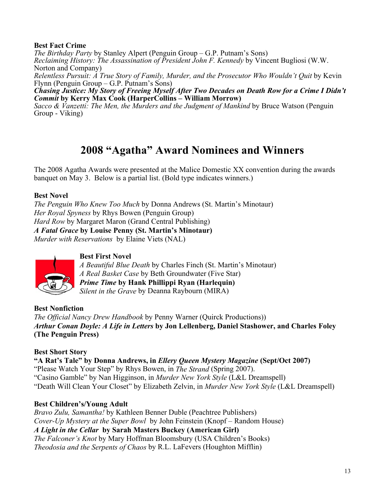### **Best Fact Crime**

*The Birthday Party* by Stanley Alpert (Penguin Group – G.P. Putnam's Sons) *Reclaiming History: The Assassination of President John F. Kennedy* by Vincent Bugliosi (W.W. Norton and Company) *Relentless Pursuit: A True Story of Family, Murder, and the Prosecutor Who Wouldn't Quit* by Kevin Flynn (Penguin Group  $-$  G.P. Putnam's Sons) *Chasing Justice: My Story of Freeing Myself After Two Decades on Death Row for a Crime I Didn't Commit* **by Kerry Max Cook (HarperCollins ± William Morrow)**

*Sacco & Vanzetti: The Men, the Murders and the Judgment of Mankind* by Bruce Watson (Penguin Group - Viking)

# **2008 ³Agatha´ Award Nominees and Winners**

The 2008 Agatha Awards were presented at the Malice Domestic XX convention during the awards banquet on May 3. Below is a partial list. (Bold type indicates winners.)

### **Best Novel**

*The Penguin Who Knew Too Much* by Donna Andrews (St. Martin's Minotaur) *Her Royal Spyness* by Rhys Bowen (Penguin Group) *Hard Row* by Margaret Maron (Grand Central Publishing) *A Fatal Grace* **by Louise Penny (St. Martin¶s Minotaur)** *Murder with Reservations* by Elaine Viets (NAL)



### **Best First Novel**

*A Beautiful Blue Death* by Charles Finch (St. Martin's Minotaur) *A Real Basket Case* by Beth Groundwater (Five Star) *Prime Time* **by Hank Phillippi Ryan (Harlequin)**  *Silent in the Grave* by Deanna Raybourn (MIRA)

**Best Nonfiction** *The Official Nancy Drew Handbook* by Penny Warner (Quirck Productions)) *Arthur Conan Doyle: A Life in Letters* **by Jon Lellenberg, Daniel Stashower, and Charles Foley (The Penguin Press)**

### **Best Short Story**

**A Rat¶s Tale´ by Donna Andrews, in** *Ellery Queen Mystery Magazine* **(Sept/Oct 2007)** Please Watch Your Step´ by Rhys Bowen, in *The Strand* (Spring 2007). Casino Gamble´ by Nan Higginson, in *Murder New York Style* (L&L Dreamspell) Death Will Clean Your Closet´ by Elizabeth Zelvin, in *Murder New York Style* (L&L Dreamspell)

### **Best Children¶s/Young Adult**

*Bravo Zulu, Samantha!* by Kathleen Benner Duble (Peachtree Publishers) *Cover-Up Mystery at the Super Bowl* by John Feinstein (Knopf – Random House) *A Light in the Cellar* **by Sarah Masters Buckey (American Girl)** *The Falconer*'*s Knot* by Mary Hoffman Bloomsbury (USA Children's Books) *Theodosia and the Serpents of Chaos* by R.L. LaFevers (Houghton Mifflin)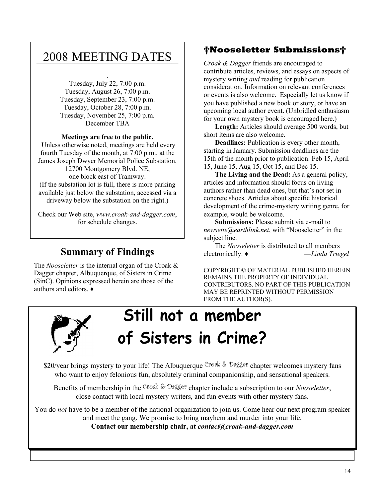# \_\_\_\_\_\_\_\_\_\_\_\_\_\_\_\_\_\_\_\_\_\_\_\_\_\_\_\_\_\_\_\_\_\_\_\_\_\_\_\_\_ 2008 MEETING DATES

. Tuesday, July 22, 7:00 p.m. Tuesday, August 26, 7:00 p.m. Tuesday, September 23, 7:00 p.m. Tuesday, October 28, 7:00 p.m. Tuesday, November 25, 7:00 p.m. December TBA

### **Meetings are free to the public.**

 Unless otherwise noted, meetings are held every fourth Tuesday of the month, at 7:00 p.m., at the James Joseph Dwyer Memorial Police Substation, 12700 Montgomery Blvd. NE, one block east of Tramway. (If the substation lot is full, there is more parking available just below the substation, accessed via a driveway below the substation on the right.)

Check our Web site, *www.croak-and-dagger.com*, for schedule changes.

# **Summary of Findings**

The *Nooseletter* is the internal organ of the Croak & Dagger chapter, Albuquerque, of Sisters in Crime (SinC). Opinions expressed herein are those of the authors and editors  $\triangle$ 

### **Nooseletter Submissions**

*Croak & Dagger* friends are encouraged to contribute articles, reviews, and essays on aspects of mystery writing *and* reading for publication consideration. Information on relevant conferences or events is also welcome. Especially let us know if you have published a new book or story, or have an upcoming local author event. (Unbridled enthusiasm for your own mystery book is encouraged here.)

**Length:** Articles should average 500 words, but short items are also welcome.

**Deadlines:** Publication is every other month, starting in January. Submission deadlines are the 15th of the month prior to publication: Feb 15, April 15, June 15, Aug 15, Oct 15, and Dec 15.

**The Living and the Dead:** As a general policy, articles and information should focus on living authors rather than dead ones, but that's not set in concrete shoes. Articles about specific historical development of the crime-mystery writing genre, for example, would be welcome.

**Submissions:** Please submit via e-mail to *newsette@earthlink.net*, with "Nooseletter" in the subject line.

The *Nooseletter* is distributed to all members electronically. Ƈ ²*Linda Triegel*

COPYRIGHT © OF MATERIAL PUBLISHED HEREIN REMAINS THE PROPERTY OF INDIVIDUAL CONTRIBUTORS. NO PART OF THIS PUBLICATION MAY BE REPRINTED WITHOUT PERMISSION FROM THE AUTHOR(S).



# **Still not a member of Sisters in Crime?**

\$20/year brings mystery to your life! The Albuquerque Croak & Dagger chapter welcomes mystery fans who want to enjoy felonious fun, absolutely criminal companionship, and sensational speakers.

Benefits of membership in the Croak & Dagger chapter include a subscription to our *Nooseletter*, close contact with local mystery writers, and fun events with other mystery fans.

You do *not* have to be a member of the national organization to join us. Come hear our next program speaker and meet the gang. We promise to bring mayhem and murder into your life. **Contact our membership chair, at** *contact@croak-and-dagger.com*